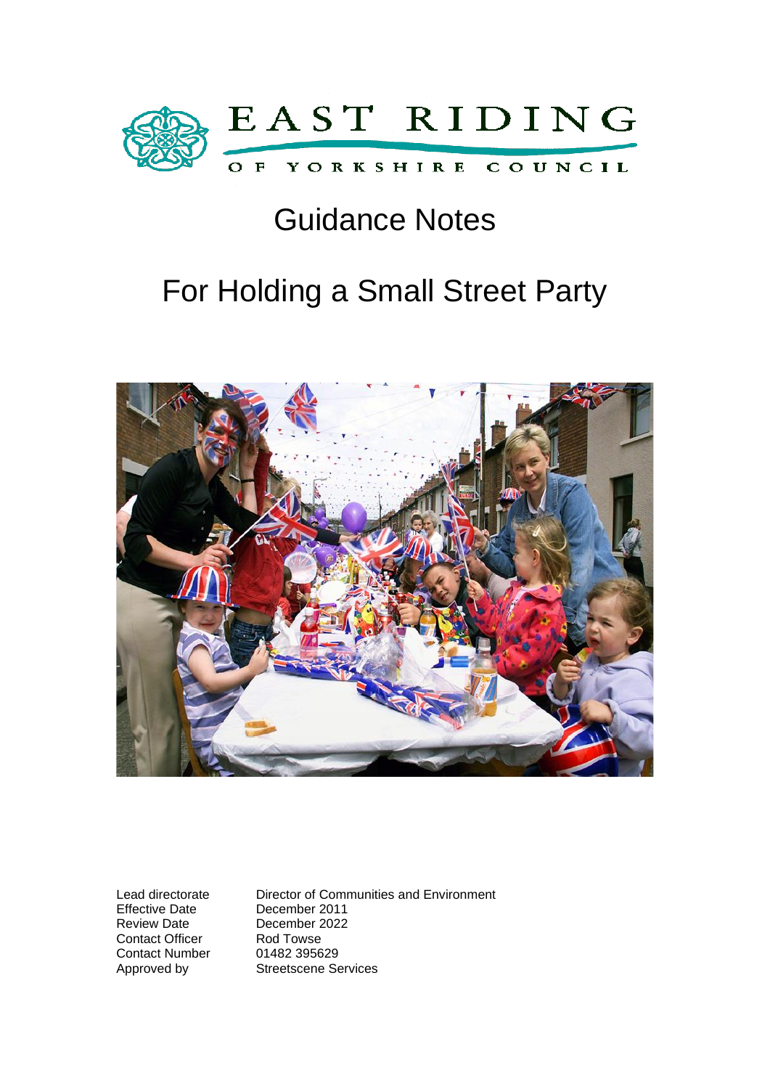

# Guidance Notes

# For Holding a Small Street Party



Review Date December 2022 Contact Officer Rod Towse Contact Number 01482 395629 Approved by Streetscene Services

Lead directorate Director of Communities and Environment<br>Effective Date December 2011 December 2011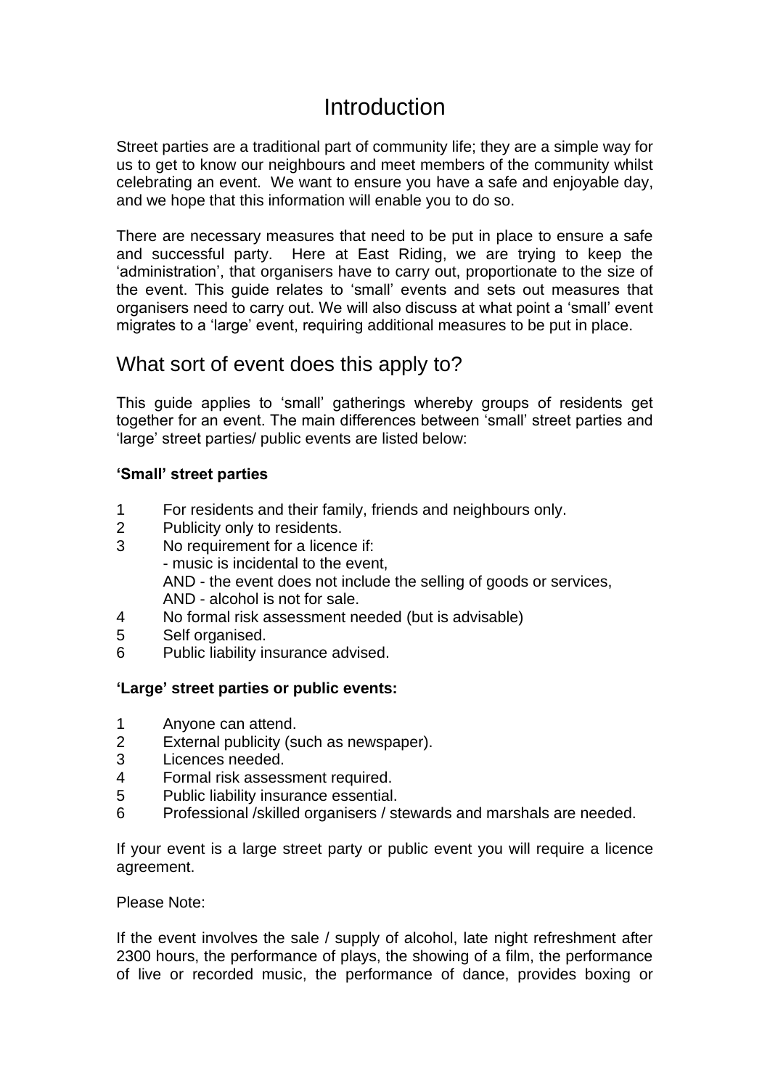### Introduction

Street parties are a traditional part of community life; they are a simple way for us to get to know our neighbours and meet members of the community whilst celebrating an event. We want to ensure you have a safe and enjoyable day, and we hope that this information will enable you to do so.

There are necessary measures that need to be put in place to ensure a safe and successful party. Here at East Riding, we are trying to keep the 'administration', that organisers have to carry out, proportionate to the size of the event. This guide relates to 'small' events and sets out measures that organisers need to carry out. We will also discuss at what point a 'small' event migrates to a 'large' event, requiring additional measures to be put in place.

### What sort of event does this apply to?

This guide applies to 'small' gatherings whereby groups of residents get together for an event. The main differences between 'small' street parties and 'large' street parties/ public events are listed below:

#### **'Small' street parties**

- 1 For residents and their family, friends and neighbours only.
- 2 Publicity only to residents.
- 3 No requirement for a licence if: - music is incidental to the event, AND - the event does not include the selling of goods or services, AND - alcohol is not for sale.
- 4 No formal risk assessment needed (but is advisable)
- 5 Self organised.
- 6 Public liability insurance advised.

#### **'Large' street parties or public events:**

- 1 Anyone can attend.
- 2 External publicity (such as newspaper).
- 3 Licences needed.<br>4 Formal risk assess
- Formal risk assessment required.
- 5 Public liability insurance essential.
- 6 Professional /skilled organisers / stewards and marshals are needed.

If your event is a large street party or public event you will require a licence agreement.

#### Please Note:

If the event involves the sale / supply of alcohol, late night refreshment after 2300 hours, the performance of plays, the showing of a film, the performance of live or recorded music, the performance of dance, provides boxing or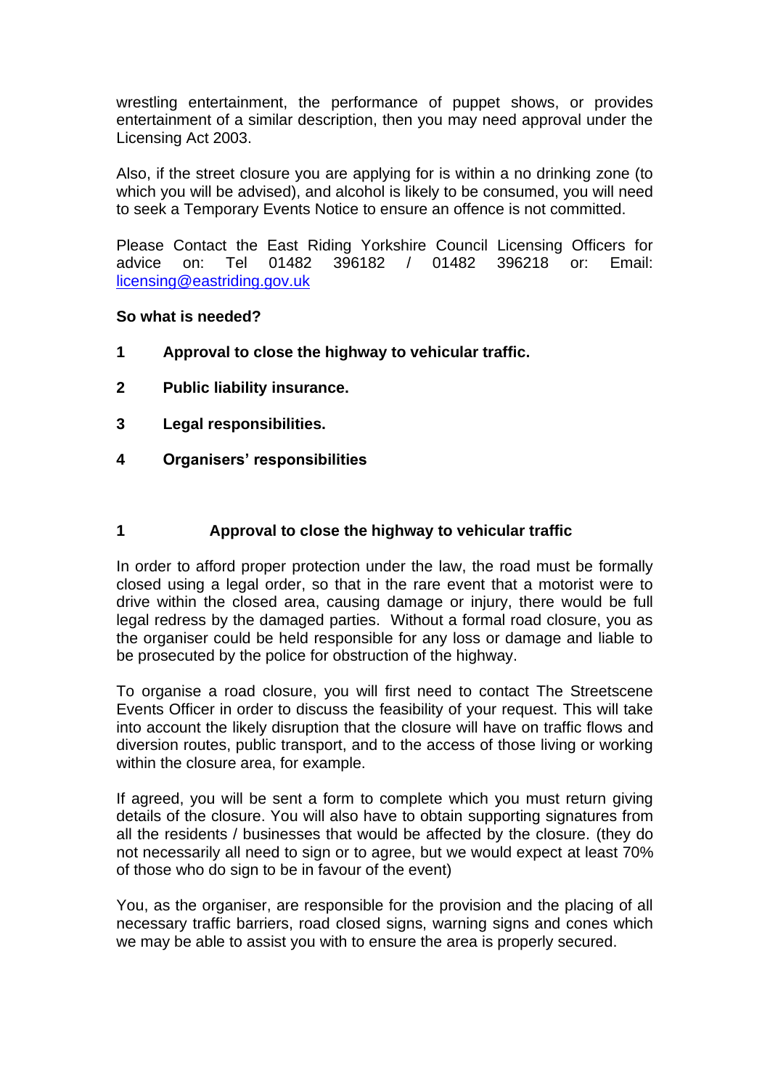wrestling entertainment, the performance of puppet shows, or provides entertainment of a similar description, then you may need approval under the Licensing Act 2003.

Also, if the street closure you are applying for is within a no drinking zone (to which you will be advised), and alcohol is likely to be consumed, you will need to seek a Temporary Events Notice to ensure an offence is not committed.

Please Contact the East Riding Yorkshire Council Licensing Officers for advice on: Tel 01482 396182 / 01482 396218 or: Email: [licensing@eastriding.gov.uk](mailto:licensing@eastriding.gov.uk)

#### **So what is needed?**

- **1 Approval to close the highway to vehicular traffic.**
- **2 Public liability insurance.**
- **3 Legal responsibilities.**
- **4 Organisers' responsibilities**

#### **1 Approval to close the highway to vehicular traffic**

In order to afford proper protection under the law, the road must be formally closed using a legal order, so that in the rare event that a motorist were to drive within the closed area, causing damage or injury, there would be full legal redress by the damaged parties. Without a formal road closure, you as the organiser could be held responsible for any loss or damage and liable to be prosecuted by the police for obstruction of the highway.

To organise a road closure, you will first need to contact The Streetscene Events Officer in order to discuss the feasibility of your request. This will take into account the likely disruption that the closure will have on traffic flows and diversion routes, public transport, and to the access of those living or working within the closure area, for example.

If agreed, you will be sent a form to complete which you must return giving details of the closure. You will also have to obtain supporting signatures from all the residents / businesses that would be affected by the closure. (they do not necessarily all need to sign or to agree, but we would expect at least 70% of those who do sign to be in favour of the event)

You, as the organiser, are responsible for the provision and the placing of all necessary traffic barriers, road closed signs, warning signs and cones which we may be able to assist you with to ensure the area is properly secured.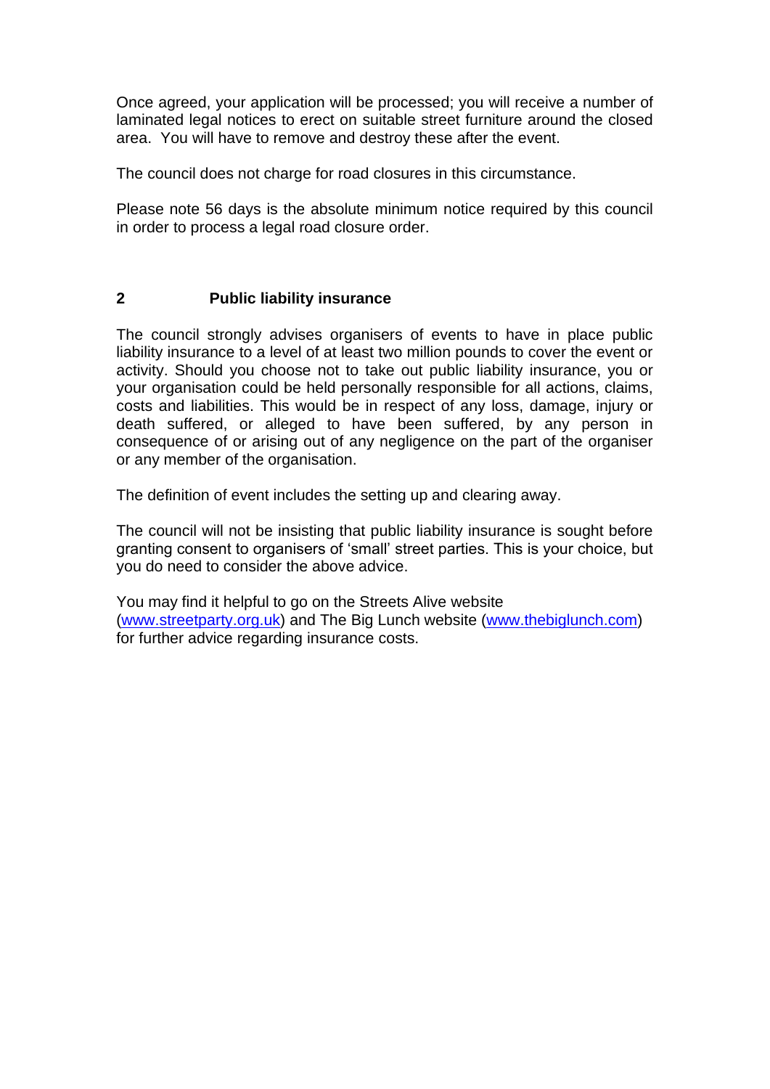Once agreed, your application will be processed; you will receive a number of laminated legal notices to erect on suitable street furniture around the closed area. You will have to remove and destroy these after the event.

The council does not charge for road closures in this circumstance.

Please note 56 days is the absolute minimum notice required by this council in order to process a legal road closure order.

#### **2 Public liability insurance**

The council strongly advises organisers of events to have in place public liability insurance to a level of at least two million pounds to cover the event or activity. Should you choose not to take out public liability insurance, you or your organisation could be held personally responsible for all actions, claims, costs and liabilities. This would be in respect of any loss, damage, injury or death suffered, or alleged to have been suffered, by any person in consequence of or arising out of any negligence on the part of the organiser or any member of the organisation.

The definition of event includes the setting up and clearing away.

The council will not be insisting that public liability insurance is sought before granting consent to organisers of 'small' street parties. This is your choice, but you do need to consider the above advice.

You may find it helpful to go on the Streets Alive website [\(www.streetparty.org.uk\)](http://www.streetparty.org.uk/) and The Big Lunch website [\(www.thebiglunch.com\)](http://www.thebiglunch.com/) for further advice regarding insurance costs.